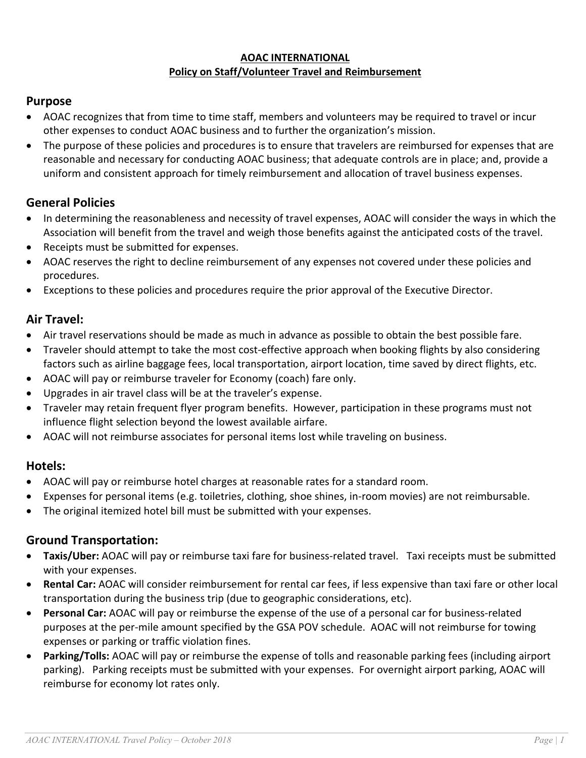#### **AOAC INTERNATIONAL Policy on Staff/Volunteer Travel and Reimbursement**

# **Purpose**

- AOAC recognizes that from time to time staff, members and volunteers may be required to travel or incur other expenses to conduct AOAC business and to further the organization's mission.
- The purpose of these policies and procedures is to ensure that travelers are reimbursed for expenses that are reasonable and necessary for conducting AOAC business; that adequate controls are in place; and, provide a uniform and consistent approach for timely reimbursement and allocation of travel business expenses.

# **General Policies**

- In determining the reasonableness and necessity of travel expenses, AOAC will consider the ways in which the Association will benefit from the travel and weigh those benefits against the anticipated costs of the travel.
- Receipts must be submitted for expenses.
- AOAC reserves the right to decline reimbursement of any expenses not covered under these policies and procedures.
- Exceptions to these policies and procedures require the prior approval of the Executive Director.

### **Air Travel:**

- Air travel reservations should be made as much in advance as possible to obtain the best possible fare.
- Traveler should attempt to take the most cost-effective approach when booking flights by also considering factors such as airline baggage fees, local transportation, airport location, time saved by direct flights, etc.
- AOAC will pay or reimburse traveler for Economy (coach) fare only.
- Upgrades in air travel class will be at the traveler's expense.
- Traveler may retain frequent flyer program benefits. However, participation in these programs must not influence flight selection beyond the lowest available airfare.
- AOAC will not reimburse associates for personal items lost while traveling on business.

### **Hotels:**

- AOAC will pay or reimburse hotel charges at reasonable rates for a standard room.
- Expenses for personal items (e.g. toiletries, clothing, shoe shines, in-room movies) are not reimbursable.
- The original itemized hotel bill must be submitted with your expenses.

# **Ground Transportation:**

- **Taxis/Uber:** AOAC will pay or reimburse taxi fare for business-related travel. Taxi receipts must be submitted with your expenses.
- **Rental Car:** AOAC will consider reimbursement for rental car fees, if less expensive than taxi fare or other local transportation during the business trip (due to geographic considerations, etc).
- **Personal Car:** AOAC will pay or reimburse the expense of the use of a personal car for business-related purposes at the per-mile amount specified by the GSA POV schedule. AOAC will not reimburse for towing expenses or parking or traffic violation fines.
- **Parking/Tolls:** AOAC will pay or reimburse the expense of tolls and reasonable parking fees (including airport parking). Parking receipts must be submitted with your expenses. For overnight airport parking, AOAC will reimburse for economy lot rates only.